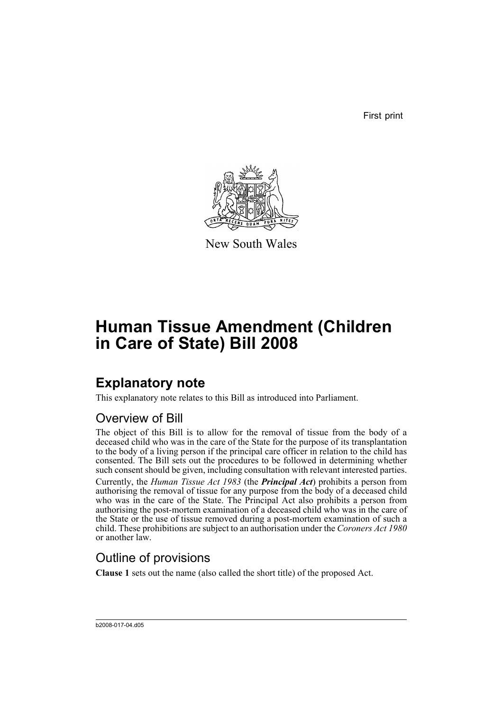First print



New South Wales

# **Human Tissue Amendment (Children in Care of State) Bill 2008**

## **Explanatory note**

This explanatory note relates to this Bill as introduced into Parliament.

## Overview of Bill

The object of this Bill is to allow for the removal of tissue from the body of a deceased child who was in the care of the State for the purpose of its transplantation to the body of a living person if the principal care officer in relation to the child has consented. The Bill sets out the procedures to be followed in determining whether such consent should be given, including consultation with relevant interested parties.

Currently, the *Human Tissue Act 1983* (the *Principal Act*) prohibits a person from authorising the removal of tissue for any purpose from the body of a deceased child who was in the care of the State. The Principal Act also prohibits a person from authorising the post-mortem examination of a deceased child who was in the care of the State or the use of tissue removed during a post-mortem examination of such a child. These prohibitions are subject to an authorisation under the *Coroners Act 1980* or another law.

## Outline of provisions

**Clause 1** sets out the name (also called the short title) of the proposed Act.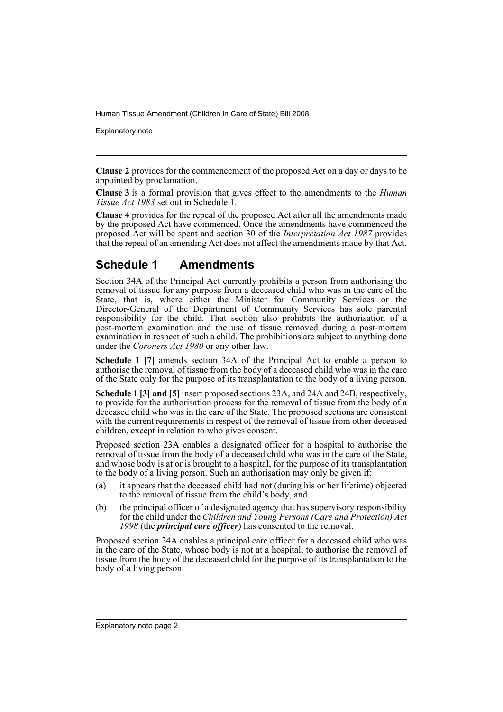Explanatory note

**Clause 2** provides for the commencement of the proposed Act on a day or days to be appointed by proclamation.

**Clause 3** is a formal provision that gives effect to the amendments to the *Human Tissue Act 1983* set out in Schedule 1.

**Clause 4** provides for the repeal of the proposed Act after all the amendments made by the proposed Act have commenced. Once the amendments have commenced the proposed Act will be spent and section 30 of the *Interpretation Act 1987* provides that the repeal of an amending Act does not affect the amendments made by that Act.

### **Schedule 1 Amendments**

Section 34A of the Principal Act currently prohibits a person from authorising the removal of tissue for any purpose from a deceased child who was in the care of the State, that is, where either the Minister for Community Services or the Director-General of the Department of Community Services has sole parental responsibility for the child. That section also prohibits the authorisation of a post-mortem examination and the use of tissue removed during a post-mortem examination in respect of such a child. The prohibitions are subject to anything done under the *Coroners Act 1980* or any other law.

**Schedule 1 [7]** amends section 34A of the Principal Act to enable a person to authorise the removal of tissue from the body of a deceased child who was in the care of the State only for the purpose of its transplantation to the body of a living person.

**Schedule 1 [3] and [5]** insert proposed sections 23A, and 24A and 24B, respectively, to provide for the authorisation process for the removal of tissue from the body of a deceased child who was in the care of the State. The proposed sections are consistent with the current requirements in respect of the removal of tissue from other deceased children, except in relation to who gives consent.

Proposed section 23A enables a designated officer for a hospital to authorise the removal of tissue from the body of a deceased child who was in the care of the State, and whose body is at or is brought to a hospital, for the purpose of its transplantation to the body of a living person. Such an authorisation may only be given if:

- (a) it appears that the deceased child had not (during his or her lifetime) objected to the removal of tissue from the child's body, and
- (b) the principal officer of a designated agency that has supervisory responsibility for the child under the *Children and Young Persons (Care and Protection) Act 1998* (the *principal care officer*) has consented to the removal.

Proposed section 24A enables a principal care officer for a deceased child who was in the care of the State, whose body is not at a hospital, to authorise the removal of tissue from the body of the deceased child for the purpose of its transplantation to the body of a living person.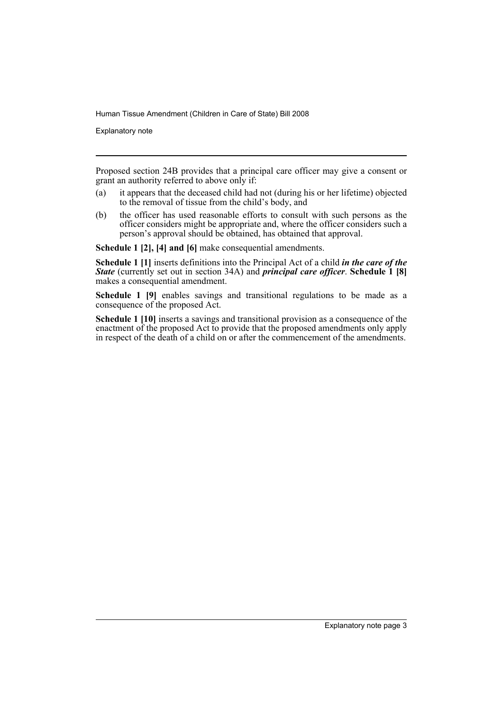Explanatory note

Proposed section 24B provides that a principal care officer may give a consent or grant an authority referred to above only if:

- (a) it appears that the deceased child had not (during his or her lifetime) objected to the removal of tissue from the child's body, and
- (b) the officer has used reasonable efforts to consult with such persons as the officer considers might be appropriate and, where the officer considers such a person's approval should be obtained, has obtained that approval.

**Schedule 1 [2], [4] and [6]** make consequential amendments.

**Schedule 1 [1]** inserts definitions into the Principal Act of a child *in the care of the State* (currently set out in section 34A) and *principal care officer*. **Schedule 1 [8]** makes a consequential amendment.

Schedule 1 [9] enables savings and transitional regulations to be made as a consequence of the proposed Act.

**Schedule 1 [10]** inserts a savings and transitional provision as a consequence of the enactment of the proposed Act to provide that the proposed amendments only apply in respect of the death of a child on or after the commencement of the amendments.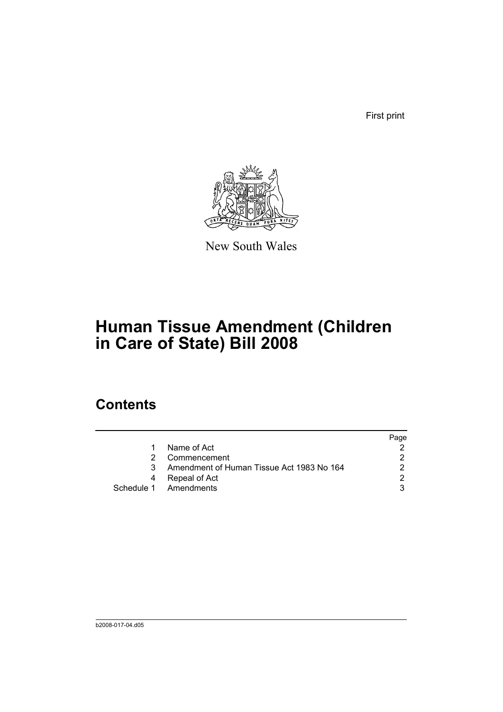First print



New South Wales

# **Human Tissue Amendment (Children in Care of State) Bill 2008**

## **Contents**

|    |                                           | Page |
|----|-------------------------------------------|------|
| 1. | Name of Act                               |      |
|    | Commencement                              | ົ    |
|    | Amendment of Human Tissue Act 1983 No 164 |      |
| 4  | Repeal of Act                             | ⌒    |
|    | Schedule 1 Amendments                     |      |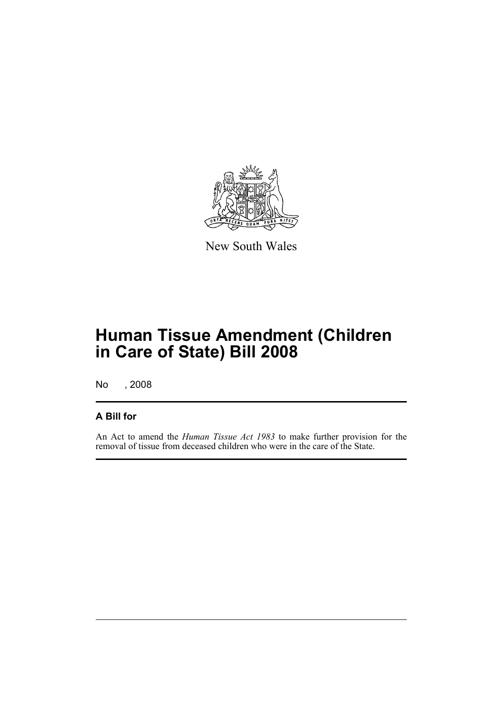

New South Wales

# **Human Tissue Amendment (Children in Care of State) Bill 2008**

No , 2008

### **A Bill for**

An Act to amend the *Human Tissue Act 1983* to make further provision for the removal of tissue from deceased children who were in the care of the State.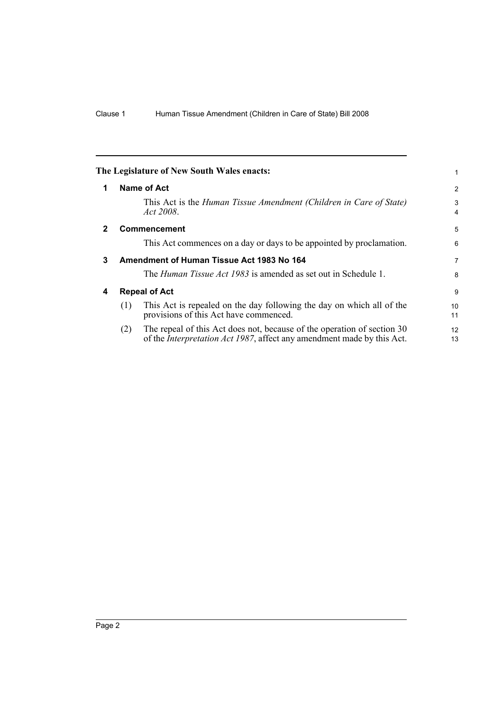<span id="page-7-3"></span><span id="page-7-2"></span><span id="page-7-1"></span><span id="page-7-0"></span>

|              |     | The Legislature of New South Wales enacts:                                                                                                                | 1                   |
|--------------|-----|-----------------------------------------------------------------------------------------------------------------------------------------------------------|---------------------|
| 1            |     | Name of Act                                                                                                                                               | $\overline{2}$      |
|              |     | This Act is the Human Tissue Amendment (Children in Care of State)<br>Act 2008.                                                                           | 3<br>$\overline{4}$ |
| $\mathbf{2}$ |     | <b>Commencement</b>                                                                                                                                       | 5                   |
|              |     | This Act commences on a day or days to be appointed by proclamation.                                                                                      | 6                   |
| 3            |     | Amendment of Human Tissue Act 1983 No 164                                                                                                                 | 7                   |
|              |     | The <i>Human Tissue Act 1983</i> is amended as set out in Schedule 1.                                                                                     | 8                   |
| 4            |     | <b>Repeal of Act</b>                                                                                                                                      | 9                   |
|              | (1) | This Act is repealed on the day following the day on which all of the<br>provisions of this Act have commenced.                                           | 10<br>11            |
|              | (2) | The repeal of this Act does not, because of the operation of section 30<br>of the <i>Interpretation Act 1987</i> , affect any amendment made by this Act. | 12<br>13            |
|              |     |                                                                                                                                                           |                     |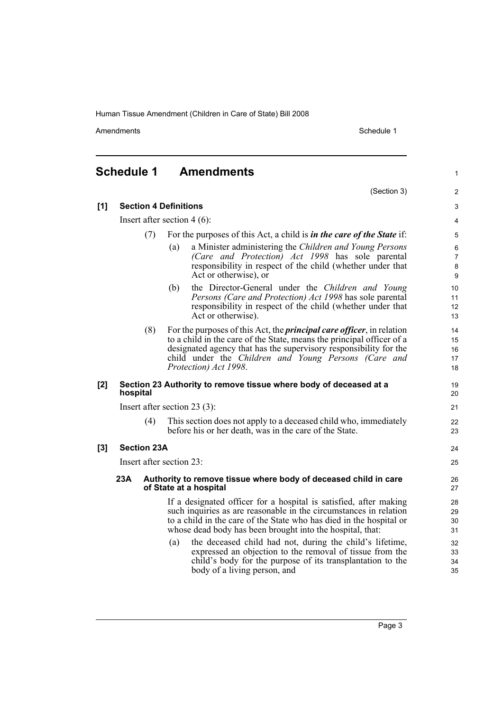Amendments Schedule 1

(Section 3)

1

2

## <span id="page-8-0"></span>**Schedule 1 Amendments**

| [1] |          |                    | <b>Section 4 Definitions</b>                                                                                                                                                                                                                                                                                 | 3                                   |
|-----|----------|--------------------|--------------------------------------------------------------------------------------------------------------------------------------------------------------------------------------------------------------------------------------------------------------------------------------------------------------|-------------------------------------|
|     |          |                    | Insert after section $4(6)$ :                                                                                                                                                                                                                                                                                | 4                                   |
|     |          | (7)                | For the purposes of this Act, a child is <i>in the care of the State</i> if:                                                                                                                                                                                                                                 | 5                                   |
|     |          |                    | a Minister administering the Children and Young Persons<br>(a)<br>(Care and Protection) Act 1998 has sole parental<br>responsibility in respect of the child (whether under that<br>Act or otherwise), or                                                                                                    | 6<br>$\overline{7}$<br>$\bf 8$<br>9 |
|     |          |                    | the Director-General under the Children and Young<br>(b)<br>Persons (Care and Protection) Act 1998 has sole parental<br>responsibility in respect of the child (whether under that<br>Act or otherwise).                                                                                                     | 10<br>11<br>12 <sup>2</sup><br>13   |
|     |          | (8)                | For the purposes of this Act, the <i>principal care officer</i> , in relation<br>to a child in the care of the State, means the principal officer of a<br>designated agency that has the supervisory responsibility for the<br>child under the Children and Young Persons (Care and<br>Protection) Act 1998. | 14<br>15<br>16<br>17<br>18          |
| [2] | hospital |                    | Section 23 Authority to remove tissue where body of deceased at a                                                                                                                                                                                                                                            | 19<br>20                            |
|     |          |                    | Insert after section $23(3)$ :                                                                                                                                                                                                                                                                               | 21                                  |
|     |          | (4)                | This section does not apply to a deceased child who, immediately<br>before his or her death, was in the care of the State.                                                                                                                                                                                   | 22<br>23                            |
| [3] |          | <b>Section 23A</b> |                                                                                                                                                                                                                                                                                                              | 24                                  |
|     |          |                    | Insert after section 23:                                                                                                                                                                                                                                                                                     | 25                                  |
|     | 23A      |                    | Authority to remove tissue where body of deceased child in care<br>of State at a hospital                                                                                                                                                                                                                    | 26<br>27                            |
|     |          |                    | If a designated officer for a hospital is satisfied, after making<br>such inquiries as are reasonable in the circumstances in relation<br>to a child in the care of the State who has died in the hospital or<br>whose dead body has been brought into the hospital, that:                                   | 28<br>29<br>30<br>31                |
|     |          |                    | the deceased child had not, during the child's lifetime,<br>(a)<br>expressed an objection to the removal of tissue from the<br>child's body for the purpose of its transplantation to the<br>body of a living person, and                                                                                    | 32<br>33<br>34<br>35                |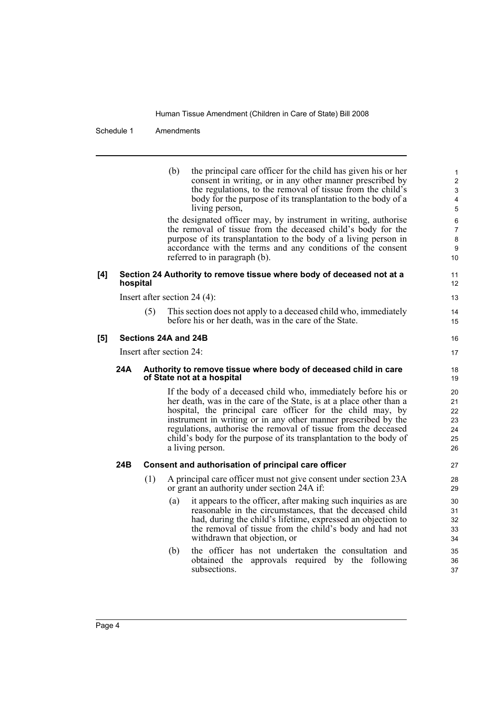Schedule 1 Amendments

|     |          |     | the principal care officer for the child has given his or her<br>(b)<br>consent in writing, or in any other manner prescribed by<br>the regulations, to the removal of tissue from the child's<br>body for the purpose of its transplantation to the body of a<br>living person,<br>the designated officer may, by instrument in writing, authorise<br>the removal of tissue from the deceased child's body for the<br>purpose of its transplantation to the body of a living person in<br>accordance with the terms and any conditions of the consent<br>referred to in paragraph (b). | 1<br>$\overline{c}$<br>3<br>4<br>5<br>6<br>$\overline{7}$<br>8<br>9<br>10 |
|-----|----------|-----|-----------------------------------------------------------------------------------------------------------------------------------------------------------------------------------------------------------------------------------------------------------------------------------------------------------------------------------------------------------------------------------------------------------------------------------------------------------------------------------------------------------------------------------------------------------------------------------------|---------------------------------------------------------------------------|
| [4] | hospital |     | Section 24 Authority to remove tissue where body of deceased not at a                                                                                                                                                                                                                                                                                                                                                                                                                                                                                                                   | 11<br>12                                                                  |
|     |          |     | Insert after section 24 $(4)$ :                                                                                                                                                                                                                                                                                                                                                                                                                                                                                                                                                         | 13                                                                        |
|     |          | (5) | This section does not apply to a deceased child who, immediately<br>before his or her death, was in the care of the State.                                                                                                                                                                                                                                                                                                                                                                                                                                                              | 14<br>15                                                                  |
| [5] |          |     | Sections 24A and 24B                                                                                                                                                                                                                                                                                                                                                                                                                                                                                                                                                                    | 16                                                                        |
|     |          |     | Insert after section $24$ :                                                                                                                                                                                                                                                                                                                                                                                                                                                                                                                                                             | 17                                                                        |
|     | 24A      |     | Authority to remove tissue where body of deceased child in care<br>of State not at a hospital                                                                                                                                                                                                                                                                                                                                                                                                                                                                                           | 18<br>19                                                                  |
|     |          |     | If the body of a deceased child who, immediately before his or<br>her death, was in the care of the State, is at a place other than a<br>hospital, the principal care officer for the child may, by<br>instrument in writing or in any other manner prescribed by the<br>regulations, authorise the removal of tissue from the deceased<br>child's body for the purpose of its transplantation to the body of<br>a living person.                                                                                                                                                       | 20<br>21<br>22<br>23<br>24<br>25<br>26                                    |
|     | 24B      |     | Consent and authorisation of principal care officer                                                                                                                                                                                                                                                                                                                                                                                                                                                                                                                                     | 27                                                                        |
|     |          | (1) | A principal care officer must not give consent under section 23A<br>or grant an authority under section 24A if:                                                                                                                                                                                                                                                                                                                                                                                                                                                                         | 28<br>29                                                                  |
|     |          |     | it appears to the officer, after making such inquiries as are<br>(a)<br>reasonable in the circumstances, that the deceased child<br>had, during the child's lifetime, expressed an objection to<br>the removal of tissue from the child's body and had not<br>withdrawn that objection, or                                                                                                                                                                                                                                                                                              | 30<br>31<br>32<br>33<br>34                                                |
|     |          |     | the officer has not undertaken the consultation and<br>(b)<br>obtained the approvals required by the following<br>subsections.                                                                                                                                                                                                                                                                                                                                                                                                                                                          | 35<br>36<br>37                                                            |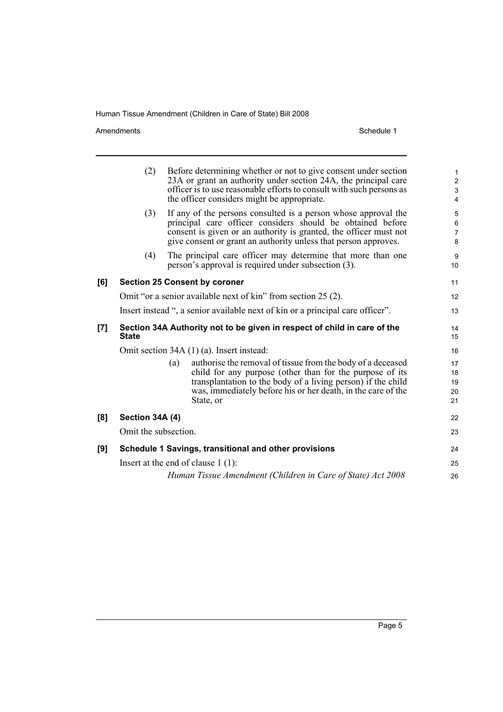Amendments Schedule 1

|     | (2)                                                                            | Before determining whether or not to give consent under section<br>23A or grant an authority under section 24A, the principal care<br>officer is to use reasonable efforts to consult with such persons as<br>the officer considers might be appropriate.                   | $\mathbf{1}$<br>$\boldsymbol{2}$<br>3<br>4 |
|-----|--------------------------------------------------------------------------------|-----------------------------------------------------------------------------------------------------------------------------------------------------------------------------------------------------------------------------------------------------------------------------|--------------------------------------------|
|     | (3)                                                                            | If any of the persons consulted is a person whose approval the<br>principal care officer considers should be obtained before<br>consent is given or an authority is granted, the officer must not<br>give consent or grant an authority unless that person approves.        | 5<br>6<br>$\overline{7}$<br>8              |
|     | (4)                                                                            | The principal care officer may determine that more than one<br>person's approval is required under subsection (3).                                                                                                                                                          | 9<br>10                                    |
| [6] |                                                                                | <b>Section 25 Consent by coroner</b>                                                                                                                                                                                                                                        | 11                                         |
|     |                                                                                | Omit "or a senior available next of kin" from section 25 (2).                                                                                                                                                                                                               | 12                                         |
|     | Insert instead ", a senior available next of kin or a principal care officer". |                                                                                                                                                                                                                                                                             |                                            |
| [7] | <b>State</b>                                                                   | Section 34A Authority not to be given in respect of child in care of the                                                                                                                                                                                                    | 14<br>15                                   |
|     |                                                                                | Omit section 34A (1) (a). Insert instead:                                                                                                                                                                                                                                   | 16                                         |
|     |                                                                                | authorise the removal of tissue from the body of a deceased<br>(a)<br>child for any purpose (other than for the purpose of its<br>transplantation to the body of a living person) if the child<br>was, immediately before his or her death, in the care of the<br>State, or | 17<br>18<br>19<br>20<br>21                 |
| [8] | Section 34A (4)                                                                |                                                                                                                                                                                                                                                                             | 22                                         |
|     | Omit the subsection.                                                           |                                                                                                                                                                                                                                                                             | 23                                         |
| [9] |                                                                                | Schedule 1 Savings, transitional and other provisions                                                                                                                                                                                                                       | 24                                         |
|     |                                                                                | Insert at the end of clause $1(1)$ :                                                                                                                                                                                                                                        | 25                                         |
|     |                                                                                | Human Tissue Amendment (Children in Care of State) Act 2008                                                                                                                                                                                                                 | 26                                         |